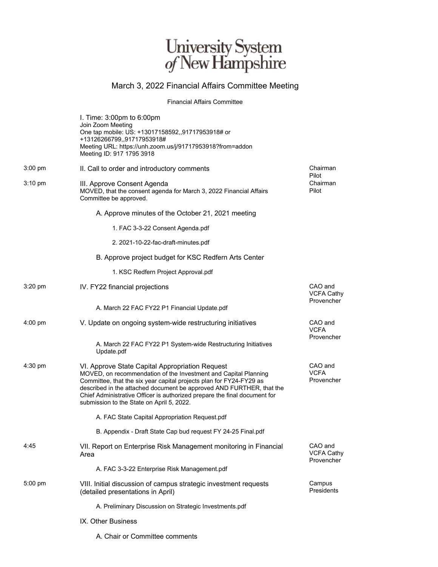## University System<br> $of$  New Hampshire

## March 3, 2022 Financial Affairs Committee Meeting

Financial Affairs Committee

|           | I. Time: 3:00pm to 6:00pm<br>Join Zoom Meeting<br>One tap mobile: US: +13017158592,,91717953918# or<br>+13126266799,,91717953918#<br>Meeting URL: https://unh.zoom.us/j/91717953918?from=addon<br>Meeting ID: 917 1795 3918                                                                                                                                                                 |                                            |
|-----------|---------------------------------------------------------------------------------------------------------------------------------------------------------------------------------------------------------------------------------------------------------------------------------------------------------------------------------------------------------------------------------------------|--------------------------------------------|
| $3:00$ pm | II. Call to order and introductory comments                                                                                                                                                                                                                                                                                                                                                 | Chairman<br>Pilot                          |
| 3:10 pm   | III. Approve Consent Agenda<br>MOVED, that the consent agenda for March 3, 2022 Financial Affairs<br>Committee be approved.                                                                                                                                                                                                                                                                 | Chairman<br>Pilot                          |
|           | A. Approve minutes of the October 21, 2021 meeting                                                                                                                                                                                                                                                                                                                                          |                                            |
|           | 1. FAC 3-3-22 Consent Agenda.pdf                                                                                                                                                                                                                                                                                                                                                            |                                            |
|           | 2. 2021-10-22-fac-draft-minutes.pdf                                                                                                                                                                                                                                                                                                                                                         |                                            |
|           | B. Approve project budget for KSC Redfern Arts Center                                                                                                                                                                                                                                                                                                                                       |                                            |
|           | 1. KSC Redfern Project Approval.pdf                                                                                                                                                                                                                                                                                                                                                         |                                            |
| $3:20$ pm | IV. FY22 financial projections                                                                                                                                                                                                                                                                                                                                                              | CAO and<br><b>VCFA Cathy</b><br>Provencher |
|           | A. March 22 FAC FY22 P1 Financial Update.pdf                                                                                                                                                                                                                                                                                                                                                |                                            |
| $4:00$ pm | V. Update on ongoing system-wide restructuring initiatives                                                                                                                                                                                                                                                                                                                                  | CAO and<br><b>VCFA</b><br>Provencher       |
|           | A. March 22 FAC FY22 P1 System-wide Restructuring Initiatives<br>Update.pdf                                                                                                                                                                                                                                                                                                                 |                                            |
| 4:30 pm   | VI. Approve State Capital Appropriation Request<br>MOVED, on recommendation of the Investment and Capital Planning<br>Committee, that the six year capital projects plan for FY24-FY29 as<br>described in the attached document be approved AND FURTHER, that the<br>Chief Administrative Officer is authorized prepare the final document for<br>submission to the State on April 5, 2022. | CAO and<br><b>VCFA</b><br>Provencher       |
|           | A. FAC State Capital Appropriation Request.pdf                                                                                                                                                                                                                                                                                                                                              |                                            |
|           | B. Appendix - Draft State Cap bud request FY 24-25 Final.pdf                                                                                                                                                                                                                                                                                                                                |                                            |
| 4:45      | VII. Report on Enterprise Risk Management monitoring in Financial<br>Area                                                                                                                                                                                                                                                                                                                   | CAO and<br><b>VCFA Cathy</b><br>Provencher |
|           | A. FAC 3-3-22 Enterprise Risk Management.pdf                                                                                                                                                                                                                                                                                                                                                |                                            |
| $5:00$ pm | VIII. Initial discussion of campus strategic investment requests<br>(detailed presentations in April)                                                                                                                                                                                                                                                                                       | Campus<br>Presidents                       |
|           | A. Preliminary Discussion on Strategic Investments.pdf                                                                                                                                                                                                                                                                                                                                      |                                            |
|           | IX. Other Business                                                                                                                                                                                                                                                                                                                                                                          |                                            |

A. Chair or Committee comments